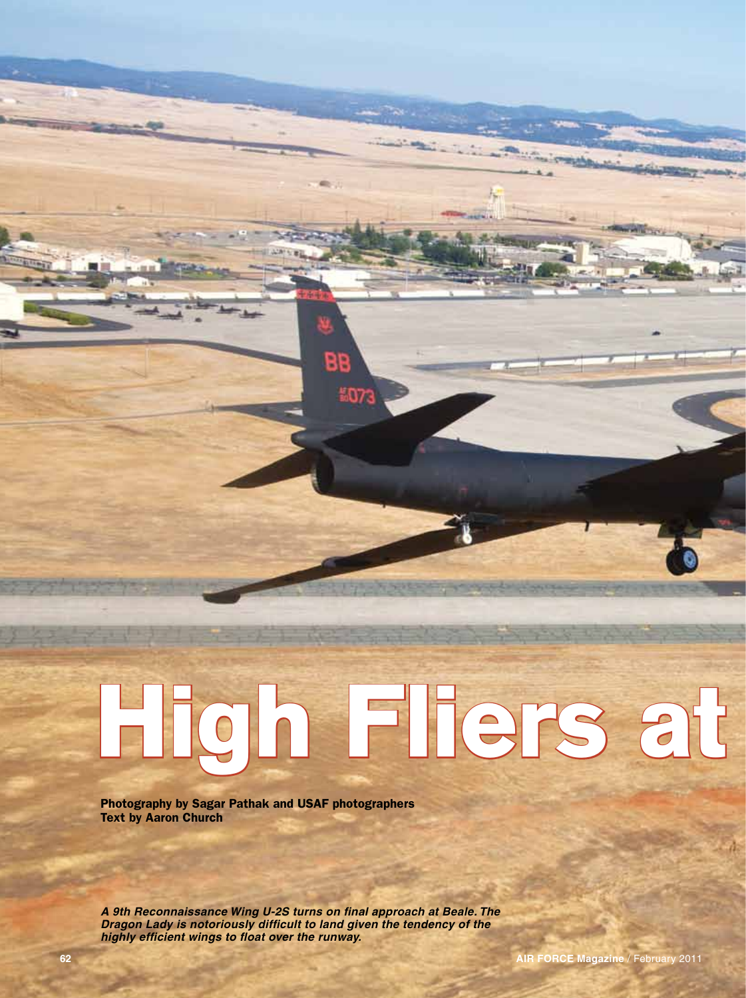## **62AIR FORCE Magazine** / February 2011**High Fliers at Beale**

BB

507

Photography by Sagar Pathak and USAF photographers Text by Aaron Church

*A 9th Reconnaissance Wing U-2S turns on final approach at Beale. The Dragon Lady is notoriously difficult to land given the tendency of the highly efficient wings to float over the runway.*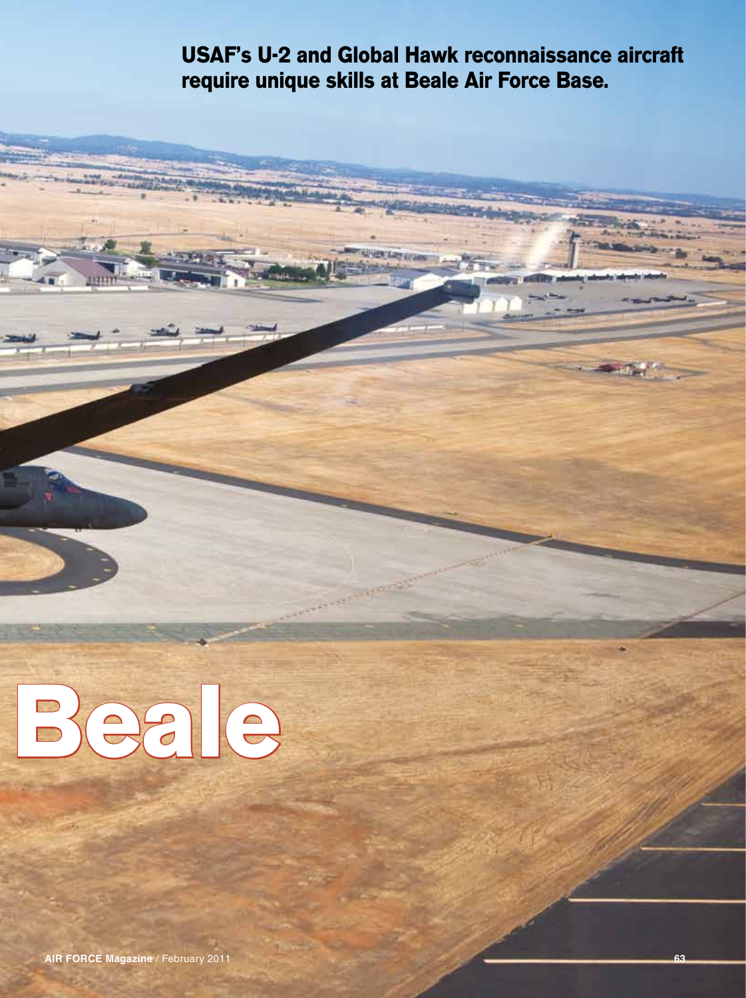## **USAF's U-2 and Global Hawk reconnaissance aircraft require unique skills at Beale Air Force Base.**

**UVERTARY COM** 



**HELL** 

**AIR FORCE Magazine / February 2011 63 63**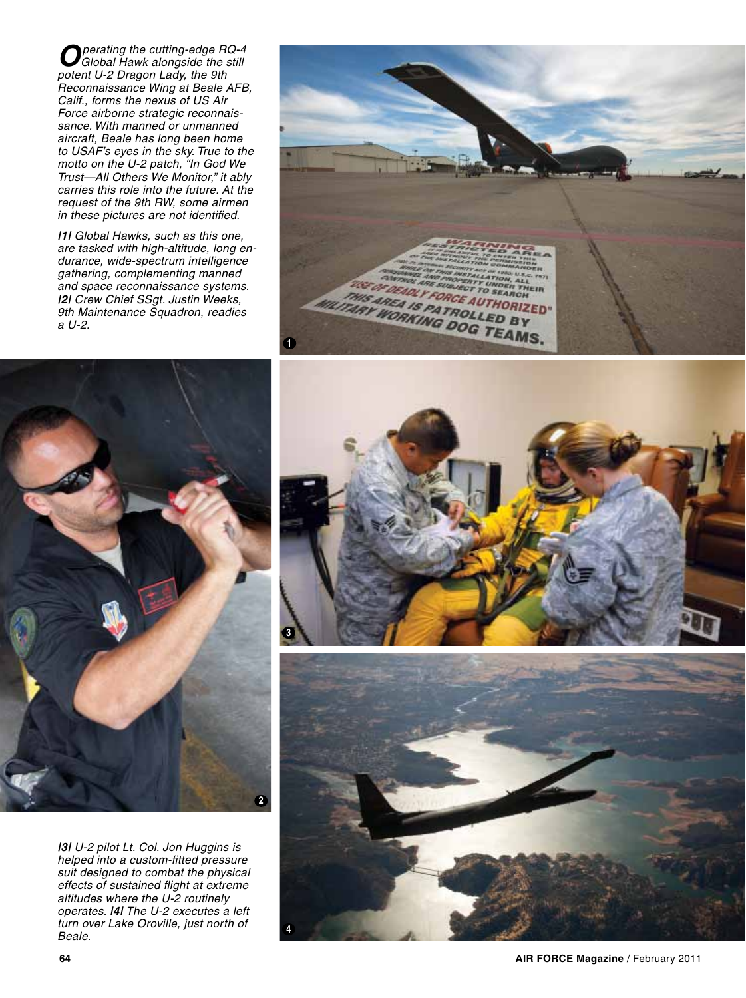*Operating the cutting-edge RQ-4 Global Hawk alongside the still potent U-2 Dragon Lady, the 9th Reconnaissance Wing at Beale AFB, Calif., forms the nexus of US Air Force airborne strategic reconnaissance. With manned or unmanned aircraft, Beale has long been home to USAF's eyes in the sky. True to the motto on the U-2 patch, "In God We Trust—All Others We Monitor," it ably carries this role into the future. At the request of the 9th RW, some airmen in these pictures are not identified.*

*|1| Global Hawks, such as this one, are tasked with high-altitude, long endurance, wide-spectrum intelligence gathering, complementing manned and space reconnaissance systems. |2| Crew Chief SSgt. Justin Weeks, 9th Maintenance Squadron, readies a U-2.* 





*|3| U-2 pilot Lt. Col. Jon Huggins is helped into a custom-fitted pressure suit designed to combat the physical effects of sustained flight at extreme altitudes where the U-2 routinely operates. |4| The U-2 executes a left turn over Lake Oroville, just north of Beale.*

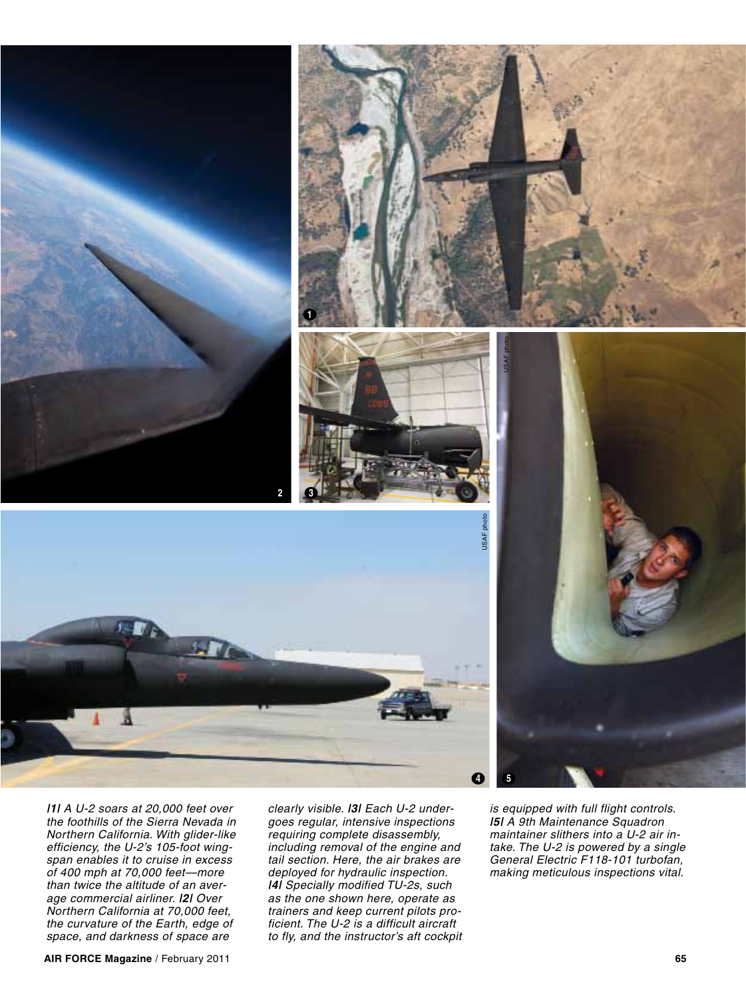



*|1| A U-2 soars at 20,000 feet over the foothills of the Sierra Nevada in Northern California. With glider-like efficiency, the U-2's 105-foot wingspan enables it to cruise in excess of 400 mph at 70,000 feet—more than twice the altitude of an average commercial airliner. |2| Over Northern California at 70,000 feet, the curvature of the Earth, edge of space, and darkness of space are* 

я

*clearly visible. |3| Each U-2 undergoes regular, intensive inspections requiring complete disassembly, including removal of the engine and tail section. Here, the air brakes are deployed for hydraulic inspection. |4| Specially modified TU-2s, such as the one shown here, operate as trainers and keep current pilots proficient. The U-2 is a difficult aircraft to fly, and the instructor's aft cockpit*  *is equipped with full flight controls. |5| A 9th Maintenance Squadron maintainer slithers into a U-2 air intake. The U-2 is powered by a single General Electric F118-101 turbofan, making meticulous inspections vital.*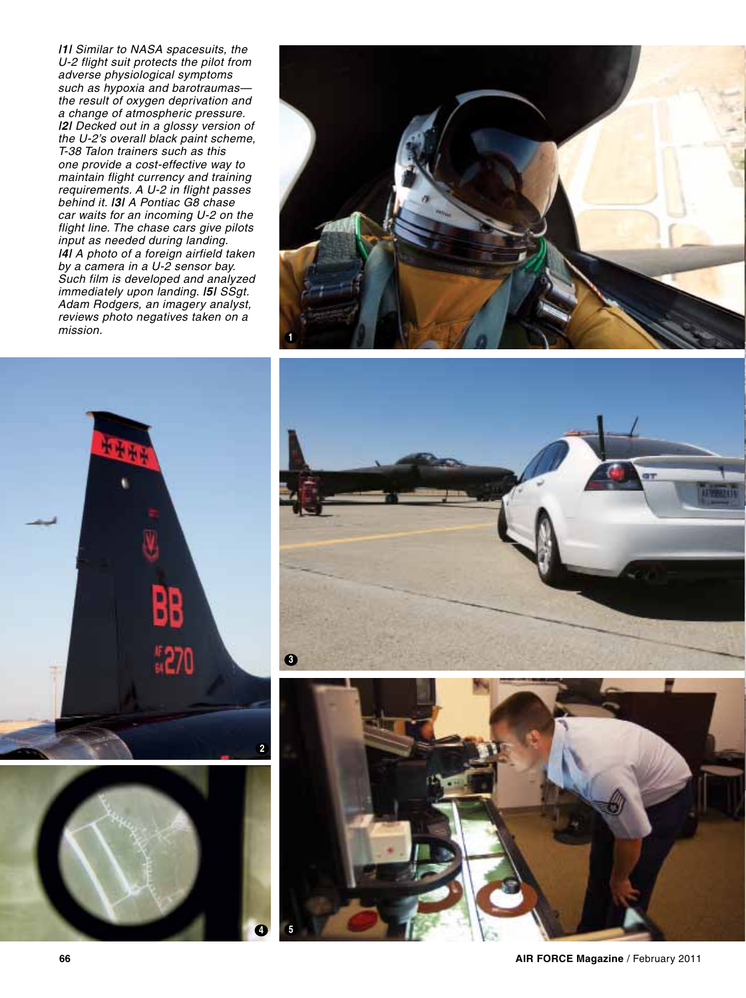*|1| Similar to NASA spacesuits, the U-2 flight suit protects the pilot from adverse physiological symptoms such as hypoxia and barotraumas the result of oxygen deprivation and a change of atmospheric pressure. |2| Decked out in a glossy version of the U-2's overall black paint scheme, T-38 Talon trainers such as this one provide a cost-effective way to maintain flight currency and training requirements. A U-2 in flight passes behind it. |3| A Pontiac G8 chase car waits for an incoming U-2 on the flight line. The chase cars give pilots input as needed during landing. |4| A photo of a foreign airfield taken by a camera in a U-2 sensor bay. Such film is developed and analyzed immediately upon landing. |5| SSgt. Adam Rodgers, an imagery analyst, reviews photo negatives taken on a mission.* **<sup>1</sup>**









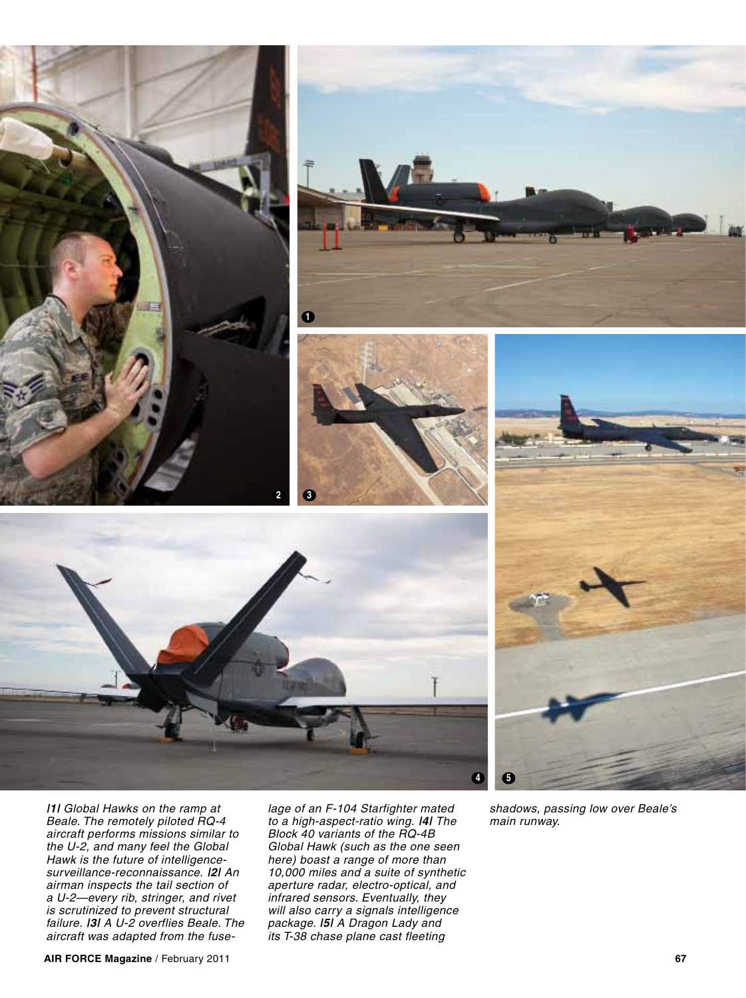









*|1| Global Hawks on the ramp at Beale. The remotely piloted RQ-4 aircraft performs missions similar to the U-2, and many feel the Global Hawk is the future of intelligencesurveillance-reconnaissance. |2| An airman inspects the tail section of a U-2—every rib, stringer, and rivet is scrutinized to prevent structural failure. |3| A U-2 overflies Beale. The aircraft was adapted from the fuse-*

*lage of an F-104 Starfighter mated to a high-aspect-ratio wing. |4| The Block 40 variants of the RQ-4B Global Hawk (such as the one seen here) boast a range of more than 10,000 miles and a suite of synthetic aperture radar, electro-optical, and infrared sensors. Eventually, they will also carry a signals intelligence package. |5| A Dragon Lady and its T-38 chase plane cast fleeting* 

*shadows, passing low over Beale's main runway.*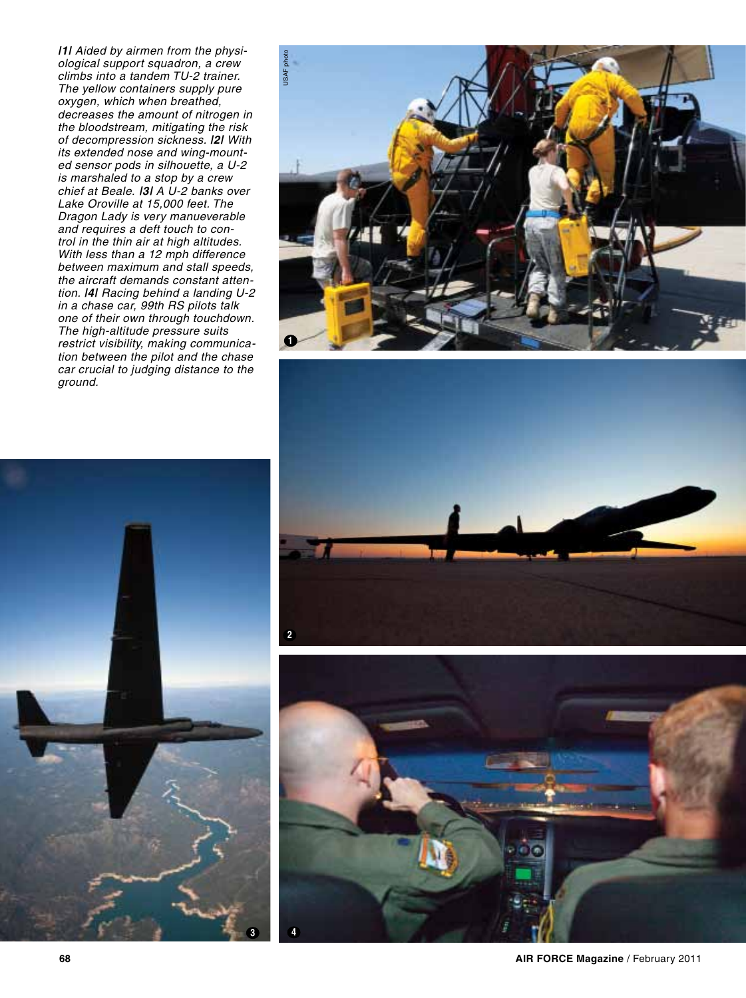*|1| Aided by airmen from the physiological support squadron, a crew climbs into a tandem TU-2 trainer. The yellow containers supply pure oxygen, which when breathed, decreases the amount of nitrogen in the bloodstream, mitigating the risk of decompression sickness. |2| With its extended nose and wing-mounted sensor pods in silhouette, a U-2 is marshaled to a stop by a crew chief at Beale. |3| A U-2 banks over Lake Oroville at 15,000 feet. The Dragon Lady is very manueverable and requires a deft touch to control in the thin air at high altitudes. With less than a 12 mph difference between maximum and stall speeds, the aircraft demands constant attention. |4| Racing behind a landing U-2 in a chase car, 99th RS pilots talk one of their own through touchdown. The high-altitude pressure suits restrict visibility, making communication between the pilot and the chase car crucial to judging distance to the ground.* 



![](_page_6_Picture_2.jpeg)

![](_page_6_Picture_3.jpeg)

![](_page_6_Picture_4.jpeg)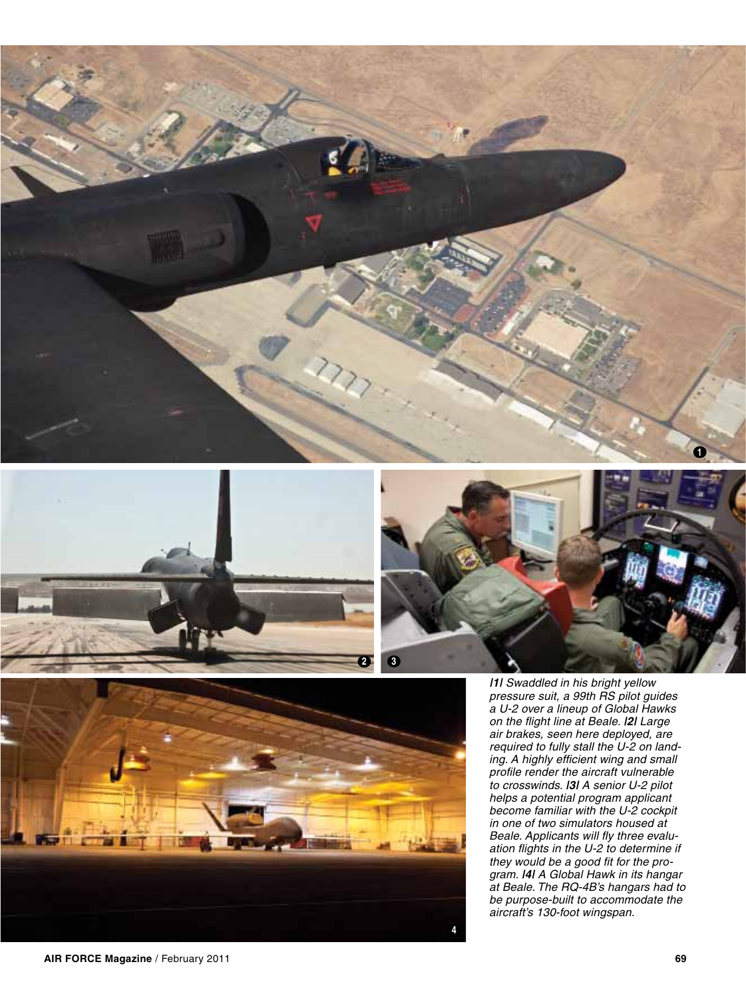![](_page_7_Picture_0.jpeg)

![](_page_7_Picture_1.jpeg)

![](_page_7_Picture_2.jpeg)

![](_page_7_Picture_3.jpeg)

*|1| Swaddled in his bright yellow pressure suit, a 99th RS pilot guides a U-2 over a lineup of Global Hawks on the flight line at Beale. |2| Large air brakes, seen here deployed, are required to fully stall the U-2 on landing. A highly efficient wing and small profile render the aircraft vulnerable to crosswinds. |3| A senior U-2 pilot helps a potential program applicant become familiar with the U-2 cockpit in one of two simulators housed at Beale. Applicants will fly three evaluation flights in the U-2 to determine if they would be a good fit for the program. |4| A Global Hawk in its hangar at Beale. The RQ-4B's hangars had to be purpose-built to accommodate the aircraft's 130-foot wingspan.*